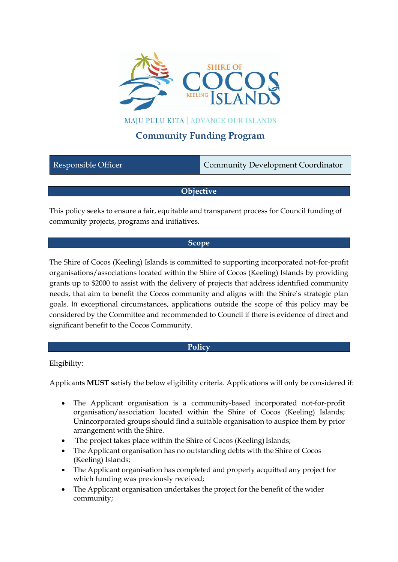

## **MAJU PULU KITA | ADVANCE OUR ISLANDS**

## **Community Funding Program**

| Community Development Coordinator<br>Responsible Officer |
|----------------------------------------------------------|
|----------------------------------------------------------|

## **Objective**

This policy seeks to ensure a fair, equitable and transparent process for Council funding of community projects, programs and initiatives.

#### **Scope**

The Shire of Cocos (Keeling) Islands is committed to supporting incorporated not-for-profit organisations/associations located within the Shire of Cocos (Keeling) Islands by providing grants up to \$2000 to assist with the delivery of projects that address identified community needs, that aim to benefit the Cocos community and aligns with the Shire's strategic plan goals. In exceptional circumstances, applications outside the scope of this policy may be considered by the Committee and recommended to Council if there is evidence of direct and significant benefit to the Cocos Community.

## **Policy**

Eligibility:

Applicants **MUST** satisfy the below eligibility criteria. Applications will only be considered if:

- The Applicant organisation is a community-based incorporated not-for-profit organisation/association located within the Shire of Cocos (Keeling) Islands; Unincorporated groups should find a suitable organisation to auspice them by prior arrangement with the Shire.
- The project takes place within the Shire of Cocos (Keeling) Islands;
- The Applicant organisation has no outstanding debts with the Shire of Cocos (Keeling) Islands;
- The Applicant organisation has completed and properly acquitted any project for which funding was previously received;
- The Applicant organisation undertakes the project for the benefit of the wider community;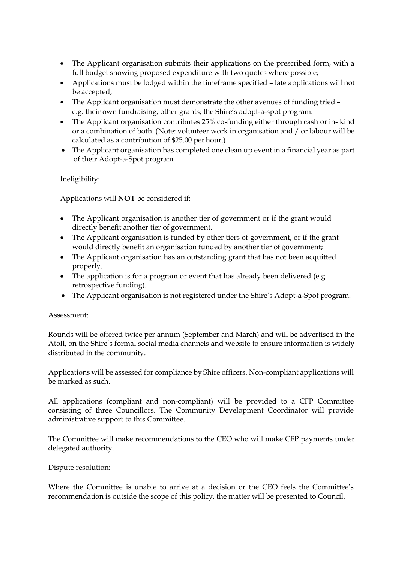- The Applicant organisation submits their applications on the prescribed form, with a full budget showing proposed expenditure with two quotes where possible;
- Applications must be lodged within the timeframe specified late applications will not be accepted;
- The Applicant organisation must demonstrate the other avenues of funding tried e.g. their own fundraising, other grants; the Shire's adopt-a-spot program.
- The Applicant organisation contributes 25% co-funding either through cash or in- kind or a combination of both. (Note: volunteer work in organisation and / or labour will be calculated as a contribution of \$25.00 per hour.)
- The Applicant organisation has completed one clean up event in a financial year as part of their Adopt-a-Spot program

Ineligibility:

Applications will **NOT** be considered if:

- The Applicant organisation is another tier of government or if the grant would directly benefit another tier of government.
- The Applicant organisation is funded by other tiers of government, or if the grant would directly benefit an organisation funded by another tier of government;
- The Applicant organisation has an outstanding grant that has not been acquitted properly.
- The application is for a program or event that has already been delivered (e.g. retrospective funding).
- The Applicant organisation is not registered under the Shire's Adopt-a-Spot program.

#### Assessment:

Rounds will be offered twice per annum (September and March) and will be advertised in the Atoll, on the Shire's formal social media channels and website to ensure information is widely distributed in the community.

Applications will be assessed for compliance by Shire officers. Non-compliant applications will be marked as such.

All applications (compliant and non-compliant) will be provided to a CFP Committee consisting of three Councillors. The Community Development Coordinator will provide administrative support to this Committee.

The Committee will make recommendations to the CEO who will make CFP payments under delegated authority.

Dispute resolution:

Where the Committee is unable to arrive at a decision or the CEO feels the Committee's recommendation is outside the scope of this policy, the matter will be presented to Council.